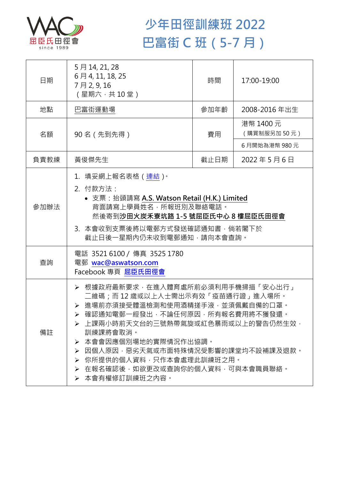

## **少年田徑訓練班 2022 巴富街 C 班(5-7 月)**

| 日期   | 5月14, 21, 28<br>6月4, 11, 18, 25<br>7月2,9,16<br>(星期六,共10堂)                                                                                                                                                                                                                                                                                                      | 時間   | 17:00-19:00              |  |
|------|----------------------------------------------------------------------------------------------------------------------------------------------------------------------------------------------------------------------------------------------------------------------------------------------------------------------------------------------------------------|------|--------------------------|--|
| 地點   | 巴富街運動場                                                                                                                                                                                                                                                                                                                                                         | 參加年齡 | 2008-2016年出生             |  |
| 名額   | 90名 (先到先得)                                                                                                                                                                                                                                                                                                                                                     | 費用   | 港幣 1400 元<br>(購買制服另加50元) |  |
|      |                                                                                                                                                                                                                                                                                                                                                                |      | 6月開始為港幣 980元             |  |
| 負責教練 | 黃俊傑先生                                                                                                                                                                                                                                                                                                                                                          | 截止日期 | 2022年5月6日                |  |
| 參加辦法 | 1.填妥網上報名表格(連結) <sup>。</sup><br>2. 付款方法:<br>• 支票: 抬頭請寫 A.S. Watson Retail (H.K.) Limited<br>背面請寫上學員姓名,所報班別及聯絡電話。<br>然後寄到沙田火炭禾寮坑路 1-5 號屈臣氏中心 8 樓屈臣氏田徑會<br>3. 本會收到支票後將以電郵方式發送確認通知書,倘若閣下於<br>截止日後一星期內仍未收到電郵通知,請向本會查詢。                                                                                                                                              |      |                          |  |
| 查詢   | 電話 35216100 / 傳真 3525 1780<br>電郵 wac@aswatson.com<br>Facebook 專頁 屈臣氏田徑會                                                                                                                                                                                                                                                                                        |      |                          |  |
| 備註   | ▶ 根據政府最新要求,在進入體育處所前必須利用手機掃描「安心出行」<br>二維碼;而 12 歳或以上人士需出示有效「疫苗通行證」進入場所。<br>▶ 進場前亦須接受體溫檢測和使用酒精搓手液·並須佩戴自備的口罩。<br>▶ 確認通知電郵一經發出,不論任何原因,所有報名費用將不獲發還。<br>➢ 上課兩小時前天文台的三號熱帶氣旋或紅色暴雨或以上的警告仍然生效•<br>訓練課將會取消。<br>本會會因應個別場地的實際情況作出協調。<br>➤<br>因個人原因,惡劣天氣或市面特殊情況受影響的課堂均不設補課及退款。<br>➤<br>你所提供的個人資料,只作本會處理此訓練班之用。<br>➤<br>在報名確認後,如欲更改或查詢你的個人資料,可與本會職員聯絡。<br>≻<br>▶ 本會有權修訂訓練班之內容。 |      |                          |  |